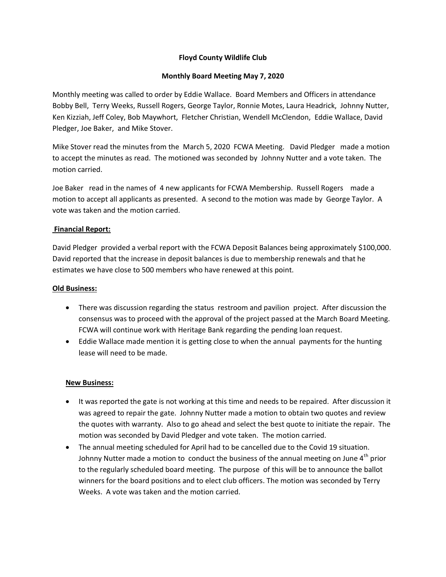# **Floyd County Wildlife Club**

## **Monthly Board Meeting May 7, 2020**

Monthly meeting was called to order by Eddie Wallace. Board Members and Officers in attendance Bobby Bell, Terry Weeks, Russell Rogers, George Taylor, Ronnie Motes, Laura Headrick, Johnny Nutter, Ken Kizziah, Jeff Coley, Bob Maywhort, Fletcher Christian, Wendell McClendon, Eddie Wallace, David Pledger, Joe Baker, and Mike Stover.

Mike Stover read the minutes from the March 5, 2020 FCWA Meeting. David Pledger made a motion to accept the minutes as read. The motioned was seconded by Johnny Nutter and a vote taken. The motion carried.

Joe Baker read in the names of 4 new applicants for FCWA Membership. Russell Rogers made a motion to accept all applicants as presented. A second to the motion was made by George Taylor. A vote was taken and the motion carried.

### **Financial Report:**

David Pledger provided a verbal report with the FCWA Deposit Balances being approximately \$100,000. David reported that the increase in deposit balances is due to membership renewals and that he estimates we have close to 500 members who have renewed at this point.

### **Old Business:**

- There was discussion regarding the status restroom and pavilion project. After discussion the consensus was to proceed with the approval of the project passed at the March Board Meeting. FCWA will continue work with Heritage Bank regarding the pending loan request.
- Eddie Wallace made mention it is getting close to when the annual payments for the hunting lease will need to be made.

### **New Business:**

- It was reported the gate is not working at this time and needs to be repaired. After discussion it was agreed to repair the gate. Johnny Nutter made a motion to obtain two quotes and review the quotes with warranty. Also to go ahead and select the best quote to initiate the repair. The motion was seconded by David Pledger and vote taken. The motion carried.
- The annual meeting scheduled for April had to be cancelled due to the Covid 19 situation. Johnny Nutter made a motion to conduct the business of the annual meeting on June  $4<sup>th</sup>$  prior to the regularly scheduled board meeting. The purpose of this will be to announce the ballot winners for the board positions and to elect club officers. The motion was seconded by Terry Weeks. A vote was taken and the motion carried.